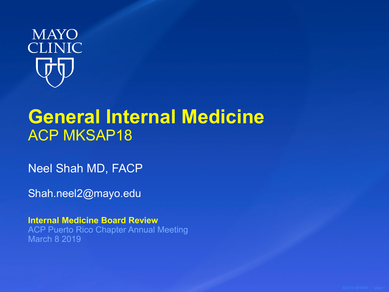

# **General Internal Medicine** ACP MKSAP18

Neel Shah MD, FACP

Shah.neel2@mayo.edu

**Internal Medicine Board Review**  ACP Puerto Rico Chapter Annual Meeting March 8 2019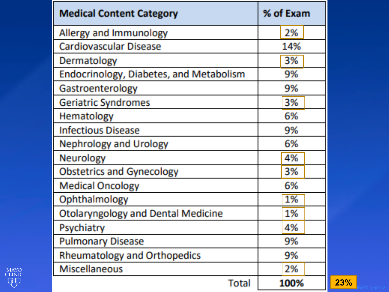| <b>Medical Content Category</b>                | % of Exam |
|------------------------------------------------|-----------|
| Allergy and Immunology                         | 2%        |
| <b>Cardiovascular Disease</b>                  | 14%       |
| Dermatology                                    | 3%        |
| <b>Endocrinology, Diabetes, and Metabolism</b> | 9%        |
| Gastroenterology                               | 9%        |
| <b>Geriatric Syndromes</b>                     | 3%        |
| Hematology                                     | 6%        |
| <b>Infectious Disease</b>                      | 9%        |
| <b>Nephrology and Urology</b>                  | 6%        |
| Neurology                                      | 4%        |
| <b>Obstetrics and Gynecology</b>               | 3%        |
| <b>Medical Oncology</b>                        | 6%        |
| Ophthalmology                                  | 1%        |
| <b>Otolaryngology and Dental Medicine</b>      | 1%        |
| Psychiatry                                     | 4%        |
| <b>Pulmonary Disease</b>                       | 9%        |
| <b>Rheumatology and Orthopedics</b>            | 9%        |
| Miscellaneous                                  | 2%        |
| Total                                          | 100%      |

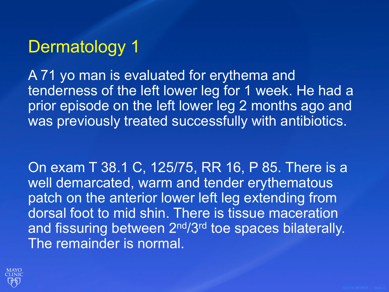# Dermatology 1

A 71 yo man is evaluated for erythema and tenderness of the left lower leg for 1 week. He had a prior episode on the left lower leg 2 months ago and was previously treated successfully with antibiotics.

On exam T 38.1 C, 125/75, RR 16, P 85. There is a well demarcated, warm and tender erythematous patch on the anterior lower left leg extending from dorsal foot to mid shin. There is tissue maceration and fissuring between 2<sup>nd</sup>/3<sup>rd</sup> toe spaces bilaterally. The remainder is normal.

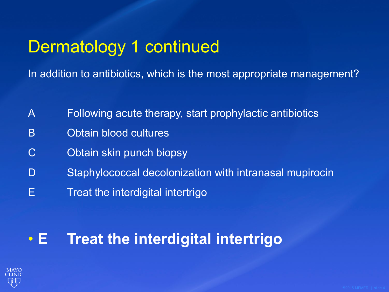# Dermatology 1 continued

In addition to antibiotics, which is the most appropriate management?

- A Following acute therapy, start prophylactic antibiotics
- B Obtain blood cultures
- C Obtain skin punch biopsy
- D Staphylococcal decolonization with intranasal mupirocin
- E **Treat the interdigital intertrigo**

#### • **E Treat the interdigital intertrigo**

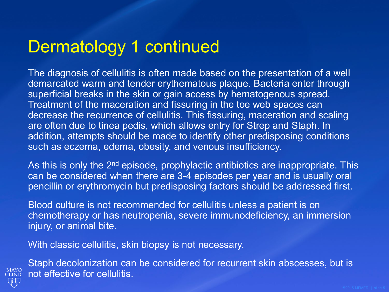## Dermatology 1 continued

The diagnosis of cellulitis is often made based on the presentation of a well demarcated warm and tender erythematous plaque. Bacteria enter through superficial breaks in the skin or gain access by hematogenous spread. Treatment of the maceration and fissuring in the toe web spaces can decrease the recurrence of cellulitis. This fissuring, maceration and scaling are often due to tinea pedis, which allows entry for Strep and Staph. In addition, attempts should be made to identify other predisposing conditions such as eczema, edema, obesity, and venous insufficiency.

As this is only the 2<sup>nd</sup> episode, prophylactic antibiotics are inappropriate. This can be considered when there are 3-4 episodes per year and is usually oral pencillin or erythromycin but predisposing factors should be addressed first.

Blood culture is not recommended for cellulitis unless a patient is on chemotherapy or has neutropenia, severe immunodeficiency, an immersion injury, or animal bite.

With classic cellulitis, skin biopsy is not necessary.



Staph decolonization can be considered for recurrent skin abscesses, but is MAYO not effective for cellulitis.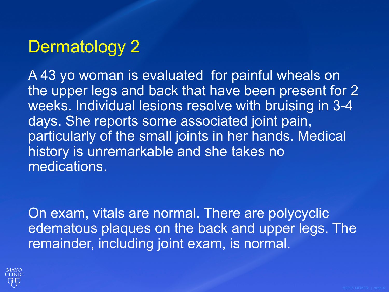# Dermatology 2

A 43 yo woman is evaluated for painful wheals on the upper legs and back that have been present for 2 weeks. Individual lesions resolve with bruising in 3-4 days. She reports some associated joint pain, particularly of the small joints in her hands. Medical history is unremarkable and she takes no medications.

On exam, vitals are normal. There are polycyclic edematous plaques on the back and upper legs. The remainder, including joint exam, is normal.

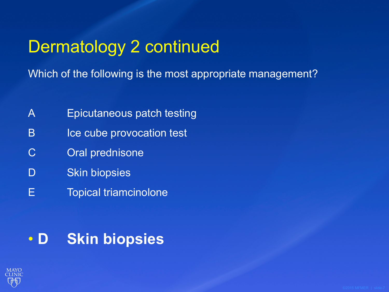# Dermatology 2 continued

Which of the following is the most appropriate management?

- A Epicutaneous patch testing
- B Ice cube provocation test
- C Oral prednisone
- D Skin biopsies
- E Topical triamcinolone

#### • **D Skin biopsies**

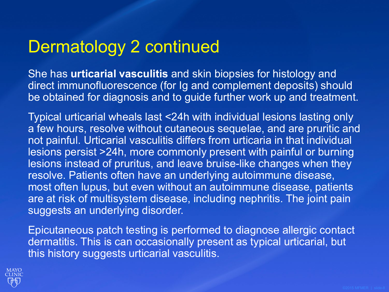# Dermatology 2 continued

She has **urticarial vasculitis** and skin biopsies for histology and direct immunofluorescence (for Ig and complement deposits) should be obtained for diagnosis and to guide further work up and treatment.

Typical urticarial wheals last <24h with individual lesions lasting only a few hours, resolve without cutaneous sequelae, and are pruritic and not painful. Urticarial vasculitis differs from urticaria in that individual lesions persist >24h, more commonly present with painful or burning lesions instead of pruritus, and leave bruise-like changes when they resolve. Patients often have an underlying autoimmune disease, most often lupus, but even without an autoimmune disease, patients are at risk of multisystem disease, including nephritis. The joint pain suggests an underlying disorder.

Epicutaneous patch testing is performed to diagnose allergic contact dermatitis. This is can occasionally present as typical urticarial, but this history suggests urticarial vasculitis.

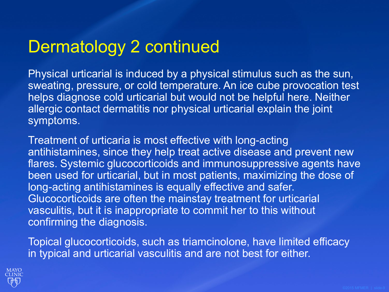# Dermatology 2 continued

Physical urticarial is induced by a physical stimulus such as the sun, sweating, pressure, or cold temperature. An ice cube provocation test helps diagnose cold urticarial but would not be helpful here. Neither allergic contact dermatitis nor physical urticarial explain the joint symptoms.

Treatment of urticaria is most effective with long-acting antihistamines, since they help treat active disease and prevent new flares. Systemic glucocorticoids and immunosuppressive agents have been used for urticarial, but in most patients, maximizing the dose of long-acting antihistamines is equally effective and safer. Glucocorticoids are often the mainstay treatment for urticarial vasculitis, but it is inappropriate to commit her to this without confirming the diagnosis.

Topical glucocorticoids, such as triamcinolone, have limited efficacy in typical and urticarial vasculitis and are not best for either.

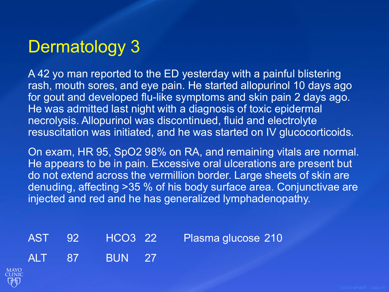# Dermatology 3

A 42 yo man reported to the ED yesterday with a painful blistering rash, mouth sores, and eye pain. He started allopurinol 10 days ago for gout and developed flu-like symptoms and skin pain 2 days ago. He was admitted last night with a diagnosis of toxic epidermal necrolysis. Allopurinol was discontinued, fluid and electrolyte resuscitation was initiated, and he was started on IV glucocorticoids.

On exam, HR 95, SpO2 98% on RA, and remaining vitals are normal. He appears to be in pain. Excessive oral ulcerations are present but do not extend across the vermillion border. Large sheets of skin are denuding, affecting >35 % of his body surface area. Conjunctivae are injected and red and he has generalized lymphadenopathy.

AST 92 HCO3 22 Plasma glucose 210 ALT 87 BUN 27

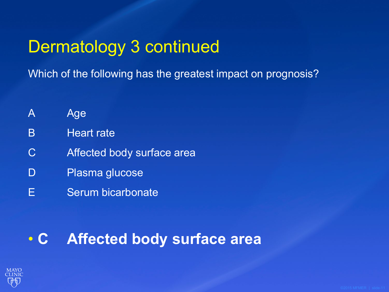# Dermatology 3 continued

Which of the following has the greatest impact on prognosis?

- A Age
- B Heart rate
- C Affected body surface area
- D Plasma glucose
- E Serum bicarbonate

#### • **C Affected body surface area**

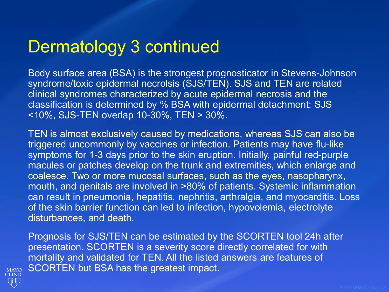# Dermatology 3 continued

Body surface area (BSA) is the strongest prognosticator in Stevens-Johnson syndrome/toxic epidermal necrolsis (SJS/TEN). SJS and TEN are related clinical syndromes characterized by acute epidermal necrosis and the classification is determined by % BSA with epidermal detachment: SJS <10%, SJS-TEN overlap 10-30%, TEN > 30%.

TEN is almost exclusively caused by medications, whereas SJS can also be triggered uncommonly by vaccines or infection. Patients may have flu-like symptoms for 1-3 days prior to the skin eruption. Initially, painful red-purple macules or patches develop on the trunk and extremities, which enlarge and coalesce. Two or more mucosal surfaces, such as the eyes, nasopharynx, mouth, and genitals are involved in >80% of patients. Systemic inflammation can result in pneumonia, hepatitis, nephritis, arthralgia, and myocarditis. Loss of the skin barrier function can led to infection, hypovolemia, electrolyte disturbances, and death.

Prognosis for SJS/TEN can be estimated by the SCORTEN tool 24h after presentation. SCORTEN is a severity score directly correlated for with mortality and validated for TEN. All the listed answers are features of SCORTEN but BSA has the greatest impact.

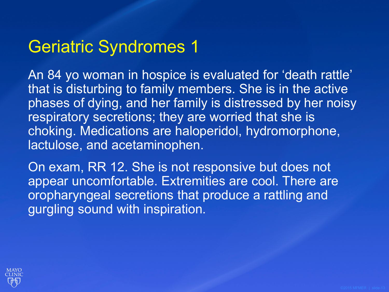# Geriatric Syndromes 1

An 84 yo woman in hospice is evaluated for 'death rattle' that is disturbing to family members. She is in the active phases of dying, and her family is distressed by her noisy respiratory secretions; they are worried that she is choking. Medications are haloperidol, hydromorphone, lactulose, and acetaminophen.

On exam, RR 12. She is not responsive but does not appear uncomfortable. Extremities are cool. There are oropharyngeal secretions that produce a rattling and gurgling sound with inspiration.

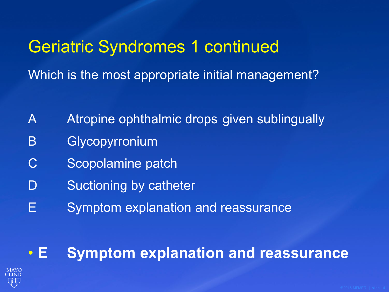# Geriatric Syndromes 1 continued Which is the most appropriate initial management?

- A Atropine ophthalmic drops given sublingually
- B Glycopyrronium
- C Scopolamine patch
- D Suctioning by catheter
- E Symptom explanation and reassurance

• **E Symptom explanation and reassurance**

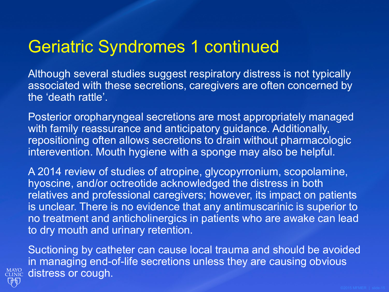## Geriatric Syndromes 1 continued

Although several studies suggest respiratory distress is not typically associated with these secretions, caregivers are often concerned by the 'death rattle'.

Posterior oropharyngeal secretions are most appropriately managed with family reassurance and anticipatory guidance. Additionally, repositioning often allows secretions to drain without pharmacologic interevention. Mouth hygiene with a sponge may also be helpful.

A 2014 review of studies of atropine, glycopyrronium, scopolamine, hyoscine, and/or octreotide acknowledged the distress in both relatives and professional caregivers; however, its impact on patients is unclear. There is no evidence that any antimuscarinic is superior to no treatment and anticholinergics in patients who are awake can lead to dry mouth and urinary retention.

Suctioning by catheter can cause local trauma and should be avoided in managing end-of-life secretions unless they are causing obvious **CLINIC** distress or cough.

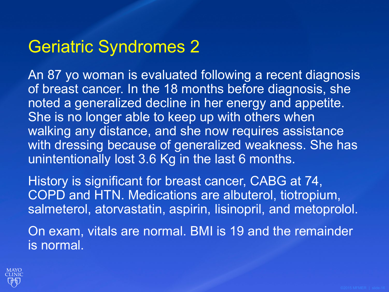### Geriatric Syndromes 2

An 87 yo woman is evaluated following a recent diagnosis of breast cancer. In the 18 months before diagnosis, she noted a generalized decline in her energy and appetite. She is no longer able to keep up with others when walking any distance, and she now requires assistance with dressing because of generalized weakness. She has unintentionally lost 3.6 Kg in the last 6 months.

History is significant for breast cancer, CABG at 74, COPD and HTN. Medications are albuterol, tiotropium, salmeterol, atorvastatin, aspirin, lisinopril, and metoprolol.

On exam, vitals are normal. BMI is 19 and the remainder is normal.

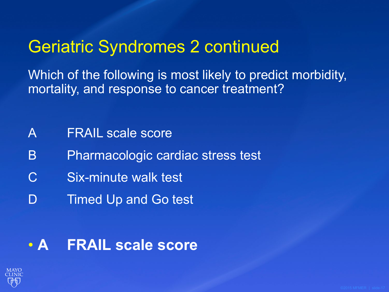# Geriatric Syndromes 2 continued

Which of the following is most likely to predict morbidity, mortality, and response to cancer treatment?

- A **FRAIL** scale score
- B Pharmacologic cardiac stress test
- C Six-minute walk test
- D Timed Up and Go test

#### • **A FRAIL scale score**

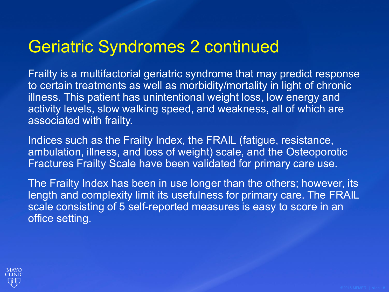## Geriatric Syndromes 2 continued

Frailty is a multifactorial geriatric syndrome that may predict response to certain treatments as well as morbidity/mortality in light of chronic illness. This patient has unintentional weight loss, low energy and activity levels, slow walking speed, and weakness, all of which are associated with frailty.

Indices such as the Frailty Index, the FRAIL (fatigue, resistance, ambulation, illness, and loss of weight) scale, and the Osteoporotic Fractures Frailty Scale have been validated for primary care use.

The Frailty Index has been in use longer than the others; however, its length and complexity limit its usefulness for primary care. The FRAIL scale consisting of 5 self-reported measures is easy to score in an office setting.

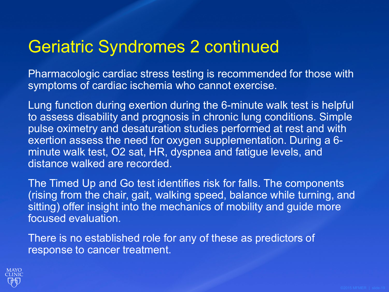### Geriatric Syndromes 2 continued

Pharmacologic cardiac stress testing is recommended for those with symptoms of cardiac ischemia who cannot exercise.

Lung function during exertion during the 6-minute walk test is helpful to assess disability and prognosis in chronic lung conditions. Simple pulse oximetry and desaturation studies performed at rest and with exertion assess the need for oxygen supplementation. During a 6 minute walk test, O2 sat, HR, dyspnea and fatigue levels, and distance walked are recorded.

The Timed Up and Go test identifies risk for falls. The components (rising from the chair, gait, walking speed, balance while turning, and sitting) offer insight into the mechanics of mobility and guide more focused evaluation.

There is no established role for any of these as predictors of response to cancer treatment.

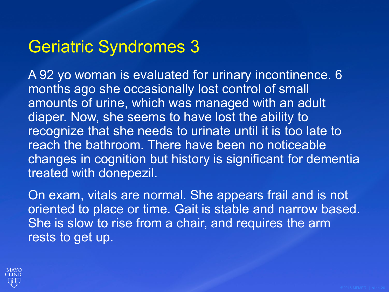### Geriatric Syndromes 3

A 92 yo woman is evaluated for urinary incontinence. 6 months ago she occasionally lost control of small amounts of urine, which was managed with an adult diaper. Now, she seems to have lost the ability to recognize that she needs to urinate until it is too late to reach the bathroom. There have been no noticeable changes in cognition but history is significant for dementia treated with donepezil.

On exam, vitals are normal. She appears frail and is not oriented to place or time. Gait is stable and narrow based. She is slow to rise from a chair, and requires the arm rests to get up.

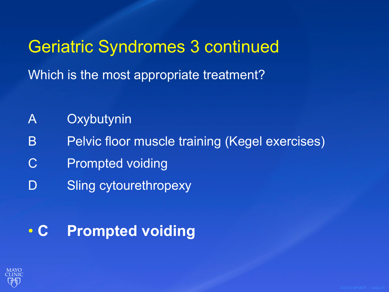Geriatric Syndromes 3 continued Which is the most appropriate treatment?

- A Oxybutynin
- B Pelvic floor muscle training (Kegel exercises)
- C Prompted voiding
- D Sling cytourethropexy

#### • **C Prompted voiding**

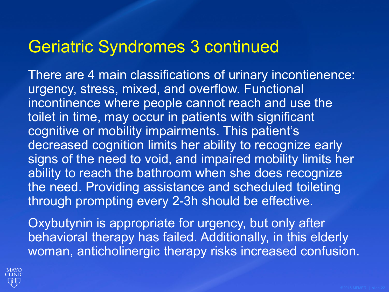#### Geriatric Syndromes 3 continued

There are 4 main classifications of urinary incontienence: urgency, stress, mixed, and overflow. Functional incontinence where people cannot reach and use the toilet in time, may occur in patients with significant cognitive or mobility impairments. This patient's decreased cognition limits her ability to recognize early signs of the need to void, and impaired mobility limits her ability to reach the bathroom when she does recognize the need. Providing assistance and scheduled toileting through prompting every 2-3h should be effective.

Oxybutynin is appropriate for urgency, but only after behavioral therapy has failed. Additionally, in this elderly woman, anticholinergic therapy risks increased confusion.

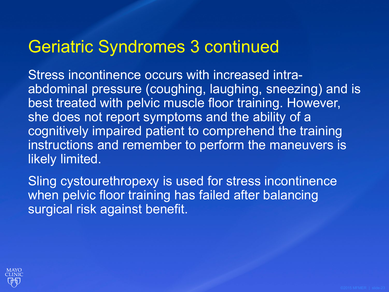#### Geriatric Syndromes 3 continued

Stress incontinence occurs with increased intraabdominal pressure (coughing, laughing, sneezing) and is best treated with pelvic muscle floor training. However, she does not report symptoms and the ability of a cognitively impaired patient to comprehend the training instructions and remember to perform the maneuvers is likely limited.

Sling cystourethropexy is used for stress incontinence when pelvic floor training has failed after balancing surgical risk against benefit.

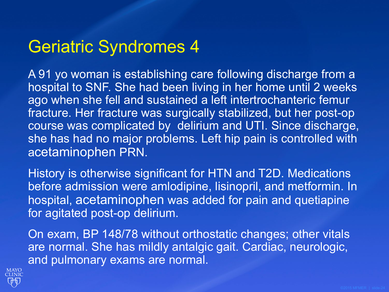## Geriatric Syndromes 4

A 91 yo woman is establishing care following discharge from a hospital to SNF. She had been living in her home until 2 weeks ago when she fell and sustained a left intertrochanteric femur fracture. Her fracture was surgically stabilized, but her post-op course was complicated by delirium and UTI. Since discharge, she has had no major problems. Left hip pain is controlled with acetaminophen PRN.

History is otherwise significant for HTN and T2D. Medications before admission were amlodipine, lisinopril, and metformin. In hospital, acetaminophen was added for pain and quetiapine for agitated post-op delirium.

On exam, BP 148/78 without orthostatic changes; other vitals are normal. She has mildly antalgic gait. Cardiac, neurologic, and pulmonary exams are normal.

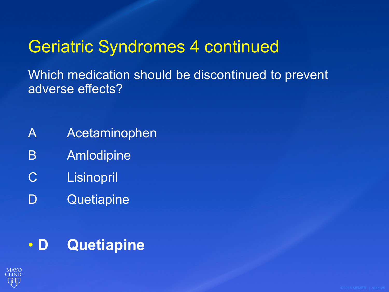# Geriatric Syndromes 4 continued

Which medication should be discontinued to prevent adverse effects?

- A Acetaminophen
- B Amlodipine
- C Lisinopril
- D Quetiapine

#### • **D Quetiapine**

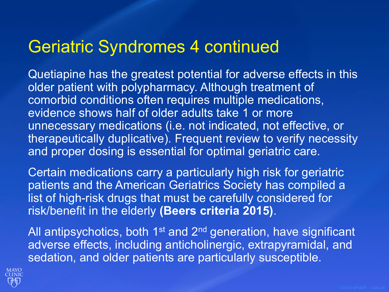#### Geriatric Syndromes 4 continued

Quetiapine has the greatest potential for adverse effects in this older patient with polypharmacy. Although treatment of comorbid conditions often requires multiple medications, evidence shows half of older adults take 1 or more unnecessary medications (i.e. not indicated, not effective, or therapeutically duplicative). Frequent review to verify necessity and proper dosing is essential for optimal geriatric care.

Certain medications carry a particularly high risk for geriatric patients and the American Geriatrics Society has compiled a list of high-risk drugs that must be carefully considered for risk/benefit in the elderly **(Beers criteria 2015)**.

All antipsychotics, both 1<sup>st</sup> and 2<sup>nd</sup> generation, have significant adverse effects, including anticholinergic, extrapyramidal, and sedation, and older patients are particularly susceptible.

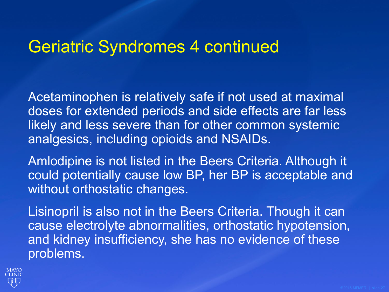#### Geriatric Syndromes 4 continued

Acetaminophen is relatively safe if not used at maximal doses for extended periods and side effects are far less likely and less severe than for other common systemic analgesics, including opioids and NSAIDs.

Amlodipine is not listed in the Beers Criteria. Although it could potentially cause low BP, her BP is acceptable and without orthostatic changes.

Lisinopril is also not in the Beers Criteria. Though it can cause electrolyte abnormalities, orthostatic hypotension, and kidney insufficiency, she has no evidence of these problems.

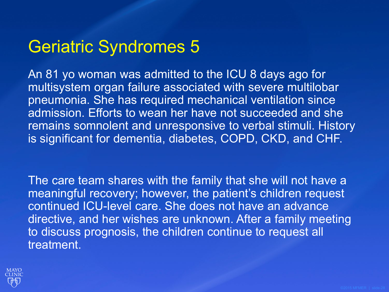## Geriatric Syndromes 5

An 81 yo woman was admitted to the ICU 8 days ago for multisystem organ failure associated with severe multilobar pneumonia. She has required mechanical ventilation since admission. Efforts to wean her have not succeeded and she remains somnolent and unresponsive to verbal stimuli. History is significant for dementia, diabetes, COPD, CKD, and CHF.

The care team shares with the family that she will not have a meaningful recovery; however, the patient's children request continued ICU-level care. She does not have an advance directive, and her wishes are unknown. After a family meeting to discuss prognosis, the children continue to request all treatment.

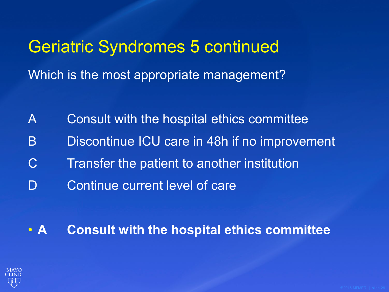# Geriatric Syndromes 5 continued Which is the most appropriate management?

- A Consult with the hospital ethics committee
- B Discontinue ICU care in 48h if no improvement
- C Transfer the patient to another institution
- D Continue current level of care
- **A Consult with the hospital ethics committee**

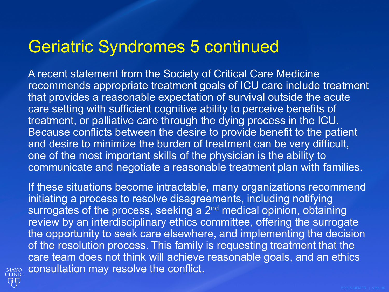#### Geriatric Syndromes 5 continued

A recent statement from the Society of Critical Care Medicine recommends appropriate treatment goals of ICU care include treatment that provides a reasonable expectation of survival outside the acute care setting with sufficient cognitive ability to perceive benefits of treatment, or palliative care through the dying process in the ICU. Because conflicts between the desire to provide benefit to the patient and desire to minimize the burden of treatment can be very difficult, one of the most important skills of the physician is the ability to communicate and negotiate a reasonable treatment plan with families.

If these situations become intractable, many organizations recommend initiating a process to resolve disagreements, including notifying surrogates of the process, seeking a 2<sup>nd</sup> medical opinion, obtaining review by an interdisciplinary ethics committee, offering the surrogate the opportunity to seek care elsewhere, and implementing the decision of the resolution process. This family is requesting treatment that the care team does not think will achieve reasonable goals, and an ethics consultation may resolve the conflict.

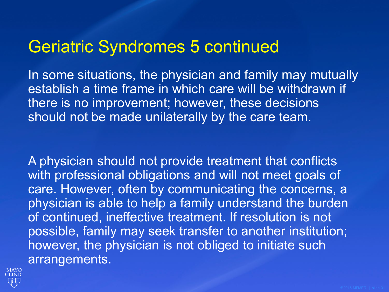#### Geriatric Syndromes 5 continued

In some situations, the physician and family may mutually establish a time frame in which care will be withdrawn if there is no improvement; however, these decisions should not be made unilaterally by the care team.

A physician should not provide treatment that conflicts with professional obligations and will not meet goals of care. However, often by communicating the concerns, a physician is able to help a family understand the burden of continued, ineffective treatment. If resolution is not possible, family may seek transfer to another institution; however, the physician is not obliged to initiate such arrangements.

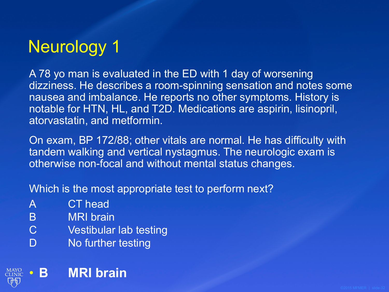# Neurology 1

A 78 yo man is evaluated in the ED with 1 day of worsening dizziness. He describes a room-spinning sensation and notes some nausea and imbalance. He reports no other symptoms. History is notable for HTN, HL, and T2D. Medications are aspirin, lisinopril, atorvastatin, and metformin.

On exam, BP 172/88; other vitals are normal. He has difficulty with tandem walking and vertical nystagmus. The neurologic exam is otherwise non-focal and without mental status changes.

Which is the most appropriate test to perform next?

- A CT head
- B MRI brain
- C Vestibular lab testing
- D No further testing

#### • **B MRI brain**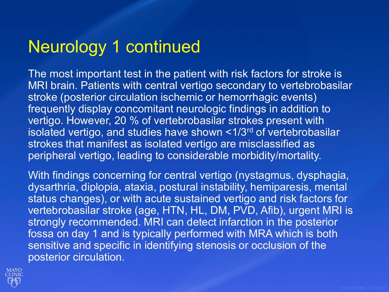## Neurology 1 continued

The most important test in the patient with risk factors for stroke is MRI brain. Patients with central vertigo secondary to vertebrobasilar stroke (posterior circulation ischemic or hemorrhagic events) frequently display concomitant neurologic findings in addition to vertigo. However, 20 % of vertebrobasilar strokes present with isolated vertigo, and studies have shown <1/3rd of vertebrobasilar strokes that manifest as isolated vertigo are misclassified as peripheral vertigo, leading to considerable morbidity/mortality.

With findings concerning for central vertigo (nystagmus, dysphagia, dysarthria, diplopia, ataxia, postural instability, hemiparesis, mental status changes), or with acute sustained vertigo and risk factors for vertebrobasilar stroke (age, HTN, HL, DM, PVD, Afib), urgent MRI is strongly recommended. MRI can detect infarction in the posterior fossa on day 1 and is typically performed with MRA which is both sensitive and specific in identifying stenosis or occlusion of the posterior circulation.

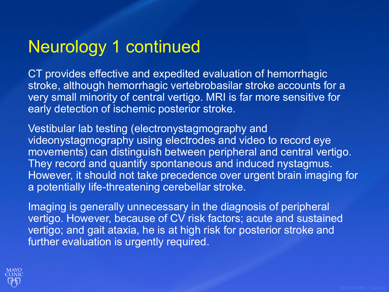# Neurology 1 continued

CT provides effective and expedited evaluation of hemorrhagic stroke, although hemorrhagic vertebrobasilar stroke accounts for a very small minority of central vertigo. MRI is far more sensitive for early detection of ischemic posterior stroke.

Vestibular lab testing (electronystagmography and videonystagmography using electrodes and video to record eye movements) can distinguish between peripheral and central vertigo. They record and quantify spontaneous and induced nystagmus. However, it should not take precedence over urgent brain imaging for a potentially life-threatening cerebellar stroke.

Imaging is generally unnecessary in the diagnosis of peripheral vertigo. However, because of CV risk factors; acute and sustained vertigo; and gait ataxia, he is at high risk for posterior stroke and further evaluation is urgently required.

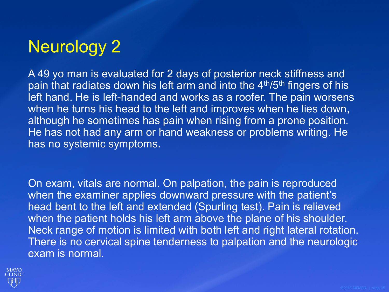# Neurology 2

A 49 yo man is evaluated for 2 days of posterior neck stiffness and pain that radiates down his left arm and into the 4<sup>th</sup>/5<sup>th</sup> fingers of his left hand. He is left-handed and works as a roofer. The pain worsens when he turns his head to the left and improves when he lies down, although he sometimes has pain when rising from a prone position. He has not had any arm or hand weakness or problems writing. He has no systemic symptoms.

On exam, vitals are normal. On palpation, the pain is reproduced when the examiner applies downward pressure with the patient's head bent to the left and extended (Spurling test). Pain is relieved when the patient holds his left arm above the plane of his shoulder. Neck range of motion is limited with both left and right lateral rotation. There is no cervical spine tenderness to palpation and the neurologic exam is normal.

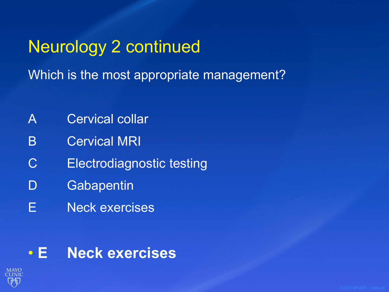Neurology 2 continued Which is the most appropriate management?

- A Cervical collar
- B Cervical MRI
- C Electrodiagnostic testing
- D Gabapentin
- E Neck exercises

#### • **E Neck exercises**

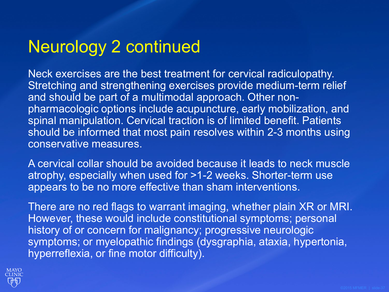### Neurology 2 continued

Neck exercises are the best treatment for cervical radiculopathy. Stretching and strengthening exercises provide medium-term relief and should be part of a multimodal approach. Other nonpharmacologic options include acupuncture, early mobilization, and spinal manipulation. Cervical traction is of limited benefit. Patients should be informed that most pain resolves within 2-3 months using conservative measures.

A cervical collar should be avoided because it leads to neck muscle atrophy, especially when used for >1-2 weeks. Shorter-term use appears to be no more effective than sham interventions.

There are no red flags to warrant imaging, whether plain XR or MRI. However, these would include constitutional symptoms; personal history of or concern for malignancy; progressive neurologic symptoms; or myelopathic findings (dysgraphia, ataxia, hypertonia, hyperreflexia, or fine motor difficulty).

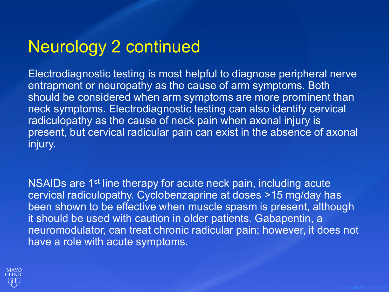### Neurology 2 continued

Electrodiagnostic testing is most helpful to diagnose peripheral nerve entrapment or neuropathy as the cause of arm symptoms. Both should be considered when arm symptoms are more prominent than neck symptoms. Electrodiagnostic testing can also identify cervical radiculopathy as the cause of neck pain when axonal injury is present, but cervical radicular pain can exist in the absence of axonal injury.

NSAIDs are 1<sup>st</sup> line therapy for acute neck pain, including acute cervical radiculopathy. Cyclobenzaprine at doses >15 mg/day has been shown to be effective when muscle spasm is present, although it should be used with caution in older patients. Gabapentin, a neuromodulator, can treat chronic radicular pain; however, it does not have a role with acute symptoms.

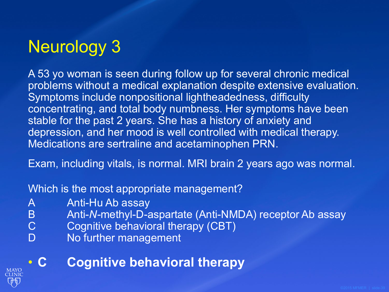# Neurology 3

A 53 yo woman is seen during follow up for several chronic medical problems without a medical explanation despite extensive evaluation. Symptoms include nonpositional lightheadedness, difficulty concentrating, and total body numbness. Her symptoms have been stable for the past 2 years. She has a history of anxiety and depression, and her mood is well controlled with medical therapy. Medications are sertraline and acetaminophen PRN.

Exam, including vitals, is normal. MRI brain 2 years ago was normal.

Which is the most appropriate management?

- A Anti-Hu Ab assay
- B Anti-*N*-methyl-D-aspartate (Anti-NMDA) receptor Ab assay<br>C Cognitive behavioral therapy (CBT)
- Cognitive behavioral therapy (CBT)
- D No further management

• **C Cognitive behavioral therapy**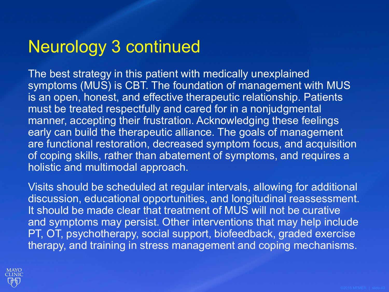### Neurology 3 continued

The best strategy in this patient with medically unexplained symptoms (MUS) is CBT. The foundation of management with MUS is an open, honest, and effective therapeutic relationship. Patients must be treated respectfully and cared for in a nonjudgmental manner, accepting their frustration. Acknowledging these feelings early can build the therapeutic alliance. The goals of management are functional restoration, decreased symptom focus, and acquisition of coping skills, rather than abatement of symptoms, and requires a holistic and multimodal approach.

Visits should be scheduled at regular intervals, allowing for additional discussion, educational opportunities, and longitudinal reassessment. It should be made clear that treatment of MUS will not be curative and symptoms may persist. Other interventions that may help include PT, OT, psychotherapy, social support, biofeedback, graded exercise therapy, and training in stress management and coping mechanisms.

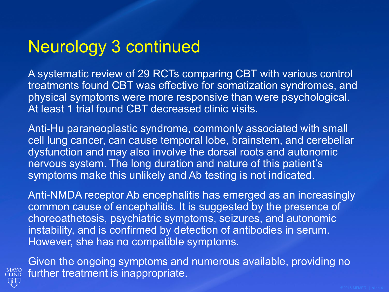### Neurology 3 continued

A systematic review of 29 RCTs comparing CBT with various control treatments found CBT was effective for somatization syndromes, and physical symptoms were more responsive than were psychological. At least 1 trial found CBT decreased clinic visits.

Anti-Hu paraneoplastic syndrome, commonly associated with small cell lung cancer, can cause temporal lobe, brainstem, and cerebellar dysfunction and may also involve the dorsal roots and autonomic nervous system. The long duration and nature of this patient's symptoms make this unlikely and Ab testing is not indicated.

Anti-NMDA receptor Ab encephalitis has emerged as an increasingly common cause of encephalitis. It is suggested by the presence of choreoathetosis, psychiatric symptoms, seizures, and autonomic instability, and is confirmed by detection of antibodies in serum. However, she has no compatible symptoms.



Given the ongoing symptoms and numerous available, providing no **MAYO** further treatment is inappropriate.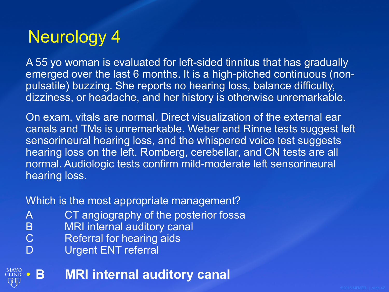### Neurology 4

A 55 yo woman is evaluated for left-sided tinnitus that has gradually emerged over the last 6 months. It is a high-pitched continuous (nonpulsatile) buzzing. She reports no hearing loss, balance difficulty, dizziness, or headache, and her history is otherwise unremarkable.

On exam, vitals are normal. Direct visualization of the external ear canals and TMs is unremarkable. Weber and Rinne tests suggest left sensorineural hearing loss, and the whispered voice test suggests hearing loss on the left. Romberg, cerebellar, and CN tests are all normal. Audiologic tests confirm mild-moderate left sensorineural hearing loss.

#### Which is the most appropriate management?

- A CT angiography of the posterior fossa<br>B MRI internal auditory canal
- B MRI internal auditory canal<br>C Referral for hearing aids
- Referral for hearing aids
- D Urgent ENT referral
- **MAYO** • **B MRI internal auditory canal**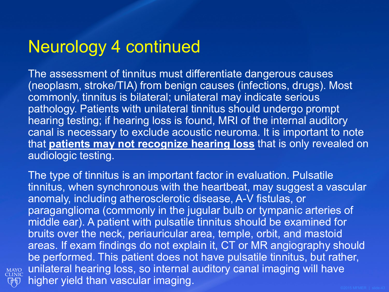### Neurology 4 continued

MAYO<br>CLINIC QD

The assessment of tinnitus must differentiate dangerous causes (neoplasm, stroke/TIA) from benign causes (infections, drugs). Most commonly, tinnitus is bilateral; unilateral may indicate serious pathology. Patients with unilateral tinnitus should undergo prompt hearing testing; if hearing loss is found, MRI of the internal auditory canal is necessary to exclude acoustic neuroma. It is important to note that **patients may not recognize hearing loss** that is only revealed on audiologic testing.

The type of tinnitus is an important factor in evaluation. Pulsatile tinnitus, when synchronous with the heartbeat, may suggest a vascular anomaly, including atherosclerotic disease, A-V fistulas, or paraganglioma (commonly in the jugular bulb or tympanic arteries of middle ear). A patient with pulsatile tinnitus should be examined for bruits over the neck, periauricular area, temple, orbit, and mastoid areas. If exam findings do not explain it, CT or MR angiography should be performed. This patient does not have pulsatile tinnitus, but rather, unilateral hearing loss, so internal auditory canal imaging will have higher yield than vascular imaging.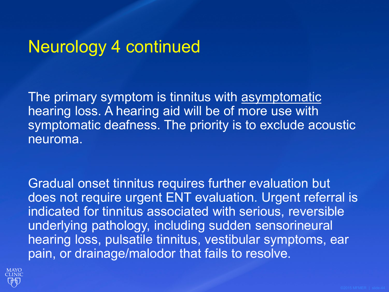### Neurology 4 continued

The primary symptom is tinnitus with asymptomatic hearing loss. A hearing aid will be of more use with symptomatic deafness. The priority is to exclude acoustic neuroma.

Gradual onset tinnitus requires further evaluation but does not require urgent ENT evaluation. Urgent referral is indicated for tinnitus associated with serious, reversible underlying pathology, including sudden sensorineural hearing loss, pulsatile tinnitus, vestibular symptoms, ear pain, or drainage/malodor that fails to resolve.

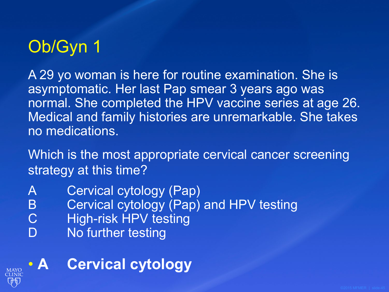# Ob/Gyn 1

A 29 yo woman is here for routine examination. She is asymptomatic. Her last Pap smear 3 years ago was normal. She completed the HPV vaccine series at age 26. Medical and family histories are unremarkable. She takes no medications.

Which is the most appropriate cervical cancer screening strategy at this time?

- A Cervical cytology (Pap)
- B **Cervical cytology (Pap) and HPV testing**
- C High-risk HPV testing
- D No further testing

**MAYO** 

### • **A Cervical cytology**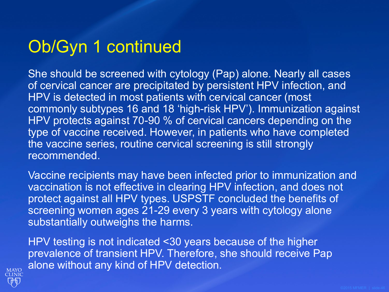## Ob/Gyn 1 continued

She should be screened with cytology (Pap) alone. Nearly all cases of cervical cancer are precipitated by persistent HPV infection, and HPV is detected in most patients with cervical cancer (most commonly subtypes 16 and 18 'high-risk HPV'). Immunization against HPV protects against 70-90 % of cervical cancers depending on the type of vaccine received. However, in patients who have completed the vaccine series, routine cervical screening is still strongly recommended.

Vaccine recipients may have been infected prior to immunization and vaccination is not effective in clearing HPV infection, and does not protect against all HPV types. USPSTF concluded the benefits of screening women ages 21-29 every 3 years with cytology alone substantially outweighs the harms.

HPV testing is not indicated <30 years because of the higher prevalence of transient HPV. Therefore, she should receive Pap alone without any kind of HPV detection.

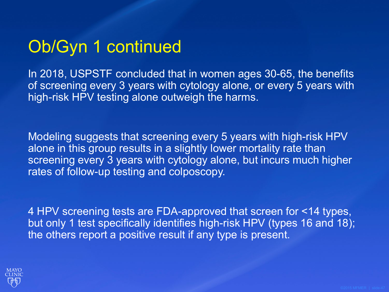## Ob/Gyn 1 continued

In 2018, USPSTF concluded that in women ages 30-65, the benefits of screening every 3 years with cytology alone, or every 5 years with high-risk HPV testing alone outweigh the harms.

Modeling suggests that screening every 5 years with high-risk HPV alone in this group results in a slightly lower mortality rate than screening every 3 years with cytology alone, but incurs much higher rates of follow-up testing and colposcopy.

4 HPV screening tests are FDA-approved that screen for <14 types, but only 1 test specifically identifies high-risk HPV (types 16 and 18); the others report a positive result if any type is present.

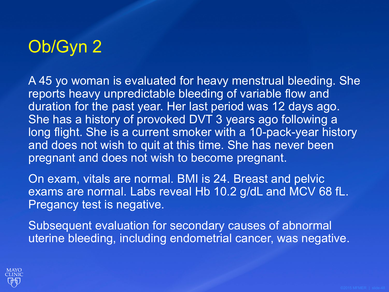# Ob/Gyn 2

A 45 yo woman is evaluated for heavy menstrual bleeding. She reports heavy unpredictable bleeding of variable flow and duration for the past year. Her last period was 12 days ago. She has a history of provoked DVT 3 years ago following a long flight. She is a current smoker with a 10-pack-year history and does not wish to quit at this time. She has never been pregnant and does not wish to become pregnant.

On exam, vitals are normal. BMI is 24. Breast and pelvic exams are normal. Labs reveal Hb 10.2 g/dL and MCV 68 fL. Pregancy test is negative.

Subsequent evaluation for secondary causes of abnormal uterine bleeding, including endometrial cancer, was negative.

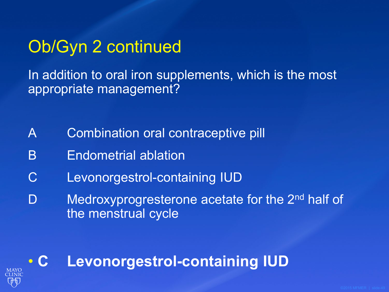### Ob/Gyn 2 continued

In addition to oral iron supplements, which is the most appropriate management?

- A Combination oral contraceptive pill
- B Endometrial ablation
- C Levonorgestrol-containing IUD
- D Medroxyprogresterone acetate for the 2<sup>nd</sup> half of the menstrual cycle

### • **C Levonorgestrol-containing IUD**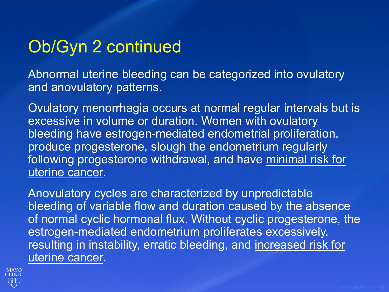### Ob/Gyn 2 continued

Abnormal uterine bleeding can be categorized into ovulatory and anovulatory patterns.

Ovulatory menorrhagia occurs at normal regular intervals but is excessive in volume or duration. Women with ovulatory bleeding have estrogen-mediated endometrial proliferation, produce progesterone, slough the endometrium regularly following progesterone withdrawal, and have minimal risk for uterine cancer.

Anovulatory cycles are characterized by unpredictable bleeding of variable flow and duration caused by the absence of normal cyclic hormonal flux. Without cyclic progesterone, the estrogen-mediated endometrium proliferates excessively, resulting in instability, erratic bleeding, and increased risk for uterine cancer.

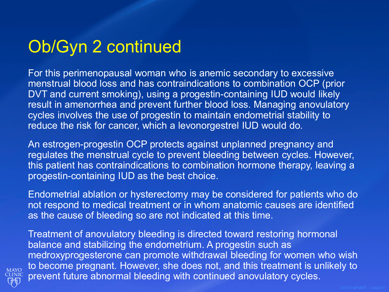### Ob/Gyn 2 continued

For this perimenopausal woman who is anemic secondary to excessive menstrual blood loss and has contraindications to combination OCP (prior DVT and current smoking), using a progestin-containing IUD would likely result in amenorrhea and prevent further blood loss. Managing anovulatory cycles involves the use of progestin to maintain endometrial stability to reduce the risk for cancer, which a levonorgestrel IUD would do.

An estrogen-progestin OCP protects against unplanned pregnancy and regulates the menstrual cycle to prevent bleeding between cycles. However, this patient has contraindications to combination hormone therapy, leaving a progestin-containing IUD as the best choice.

Endometrial ablation or hysterectomy may be considered for patients who do not respond to medical treatment or in whom anatomic causes are identified as the cause of bleeding so are not indicated at this time.

Treatment of anovulatory bleeding is directed toward restoring hormonal balance and stabilizing the endometrium. A progestin such as medroxyprogesterone can promote withdrawal bleeding for women who wish to become pregnant. However, she does not, and this treatment is unlikely to prevent future abnormal bleeding with continued anovulatory cycles.

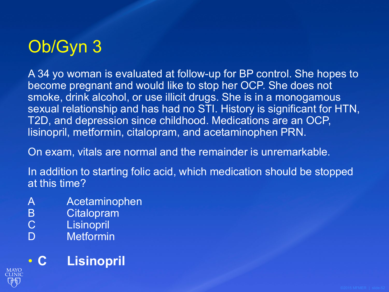# Ob/Gyn 3

A 34 yo woman is evaluated at follow-up for BP control. She hopes to become pregnant and would like to stop her OCP. She does not smoke, drink alcohol, or use illicit drugs. She is in a monogamous sexual relationship and has had no STI. History is significant for HTN, T2D, and depression since childhood. Medications are an OCP, lisinopril, metformin, citalopram, and acetaminophen PRN.

On exam, vitals are normal and the remainder is unremarkable.

In addition to starting folic acid, which medication should be stopped at this time?

- A Acetaminophen
- B Citalopram<br>C Lisinopril
- Lisinopril
- D Metformin

### • **C Lisinopril**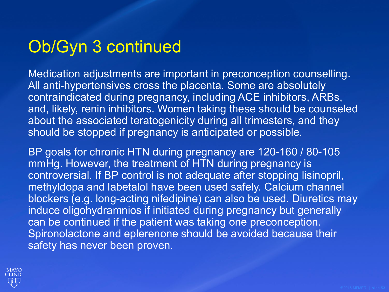### Ob/Gyn 3 continued

Medication adjustments are important in preconception counselling. All anti-hypertensives cross the placenta. Some are absolutely contraindicated during pregnancy, including ACE inhibitors, ARBs, and, likely, renin inhibitors. Women taking these should be counseled about the associated teratogenicity during all trimesters, and they should be stopped if pregnancy is anticipated or possible.

BP goals for chronic HTN during pregnancy are 120-160 / 80-105 mmHg. However, the treatment of HTN during pregnancy is controversial. If BP control is not adequate after stopping lisinopril, methyldopa and labetalol have been used safely. Calcium channel blockers (e.g. long-acting nifedipine) can also be used. Diuretics may induce oligohydramnios if initiated during pregnancy but generally can be continued if the patient was taking one preconception. Spironolactone and eplerenone should be avoided because their safety has never been proven.

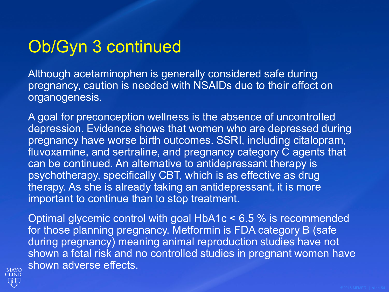### Ob/Gyn 3 continued

Although acetaminophen is generally considered safe during pregnancy, caution is needed with NSAIDs due to their effect on organogenesis.

A goal for preconception wellness is the absence of uncontrolled depression. Evidence shows that women who are depressed during pregnancy have worse birth outcomes. SSRI, including citalopram, fluvoxamine, and sertraline, and pregnancy category C agents that can be continued. An alternative to antidepressant therapy is psychotherapy, specifically CBT, which is as effective as drug therapy. As she is already taking an antidepressant, it is more important to continue than to stop treatment.

Optimal glycemic control with goal HbA1c < 6.5 % is recommended for those planning pregnancy. Metformin is FDA category B (safe during pregnancy) meaning animal reproduction studies have not shown a fetal risk and no controlled studies in pregnant women have shown adverse effects.

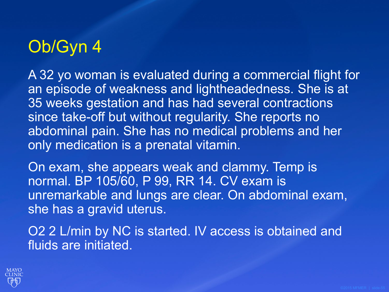# Ob/Gyn 4

A 32 yo woman is evaluated during a commercial flight for an episode of weakness and lightheadedness. She is at 35 weeks gestation and has had several contractions since take-off but without regularity. She reports no abdominal pain. She has no medical problems and her only medication is a prenatal vitamin.

On exam, she appears weak and clammy. Temp is normal. BP 105/60, P 99, RR 14. CV exam is unremarkable and lungs are clear. On abdominal exam, she has a gravid uterus.

O2 2 L/min by NC is started. IV access is obtained and fluids are initiated.

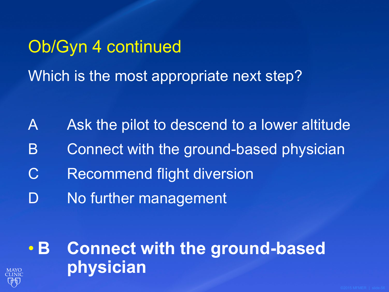# Ob/Gyn 4 continued Which is the most appropriate next step?

- A Ask the pilot to descend to a lower altitude
- B Connect with the ground-based physician
- C Recommend flight diversion
- D No further management

# • **B Connect with the ground-based physician**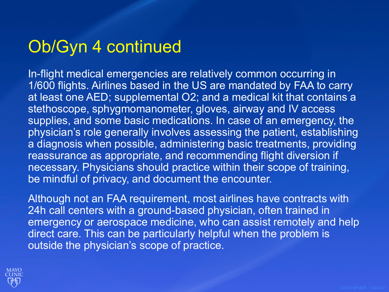### Ob/Gyn 4 continued

In-flight medical emergencies are relatively common occurring in 1/600 flights. Airlines based in the US are mandated by FAA to carry at least one AED; supplemental O2; and a medical kit that contains a stethoscope, sphygmomanometer, gloves, airway and IV access supplies, and some basic medications. In case of an emergency, the physician's role generally involves assessing the patient, establishing a diagnosis when possible, administering basic treatments, providing reassurance as appropriate, and recommending flight diversion if necessary. Physicians should practice within their scope of training, be mindful of privacy, and document the encounter.

Although not an FAA requirement, most airlines have contracts with 24h call centers with a ground-based physician, often trained in emergency or aerospace medicine, who can assist remotely and help direct care. This can be particularly helpful when the problem is outside the physician's scope of practice.

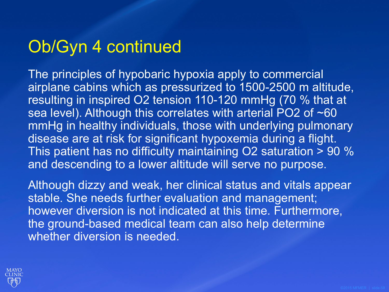### Ob/Gyn 4 continued

The principles of hypobaric hypoxia apply to commercial airplane cabins which as pressurized to 1500-2500 m altitude, resulting in inspired O2 tension 110-120 mmHg (70 % that at sea level). Although this correlates with arterial PO2 of ~60 mmHg in healthy individuals, those with underlying pulmonary disease are at risk for significant hypoxemia during a flight. This patient has no difficulty maintaining O2 saturation > 90 % and descending to a lower altitude will serve no purpose.

Although dizzy and weak, her clinical status and vitals appear stable. She needs further evaluation and management; however diversion is not indicated at this time. Furthermore, the ground-based medical team can also help determine whether diversion is needed.

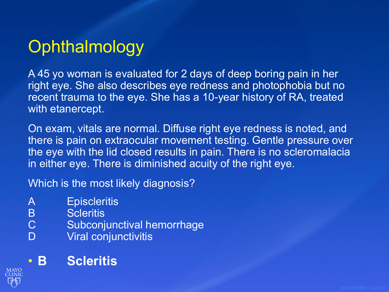# **Ophthalmology**

A 45 yo woman is evaluated for 2 days of deep boring pain in her right eye. She also describes eye redness and photophobia but no recent trauma to the eye. She has a 10-year history of RA, treated with etanercept.

On exam, vitals are normal. Diffuse right eye redness is noted, and there is pain on extraocular movement testing. Gentle pressure over the eye with the lid closed results in pain. There is no scleromalacia in either eye. There is diminished acuity of the right eye.

Which is the most likely diagnosis?

- A Episcleritis
- B Scleritis<br>C Subconj
- Subconjunctival hemorrhage
- D Viral conjunctivitis

### • **B Scleritis**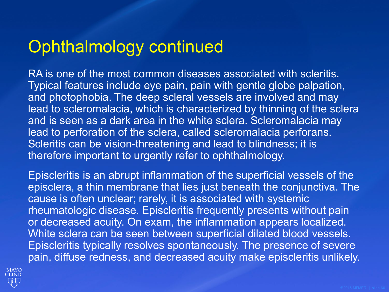### Ophthalmology continued

RA is one of the most common diseases associated with scleritis. Typical features include eye pain, pain with gentle globe palpation, and photophobia. The deep scleral vessels are involved and may lead to scleromalacia, which is characterized by thinning of the sclera and is seen as a dark area in the white sclera. Scleromalacia may lead to perforation of the sclera, called scleromalacia perforans. Scleritis can be vision-threatening and lead to blindness; it is therefore important to urgently refer to ophthalmology.

Episcleritis is an abrupt inflammation of the superficial vessels of the episclera, a thin membrane that lies just beneath the conjunctiva. The cause is often unclear; rarely, it is associated with systemic rheumatologic disease. Episcleritis frequently presents without pain or decreased acuity. On exam, the inflammation appears localized. White sclera can be seen between superficial dilated blood vessels. Episcleritis typically resolves spontaneously. The presence of severe pain, diffuse redness, and decreased acuity make episcleritis unlikely.

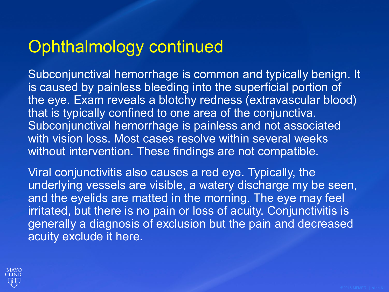### Ophthalmology continued

Subconjunctival hemorrhage is common and typically benign. It is caused by painless bleeding into the superficial portion of the eye. Exam reveals a blotchy redness (extravascular blood) that is typically confined to one area of the conjunctiva. Subconjunctival hemorrhage is painless and not associated with vision loss. Most cases resolve within several weeks without intervention. These findings are not compatible.

Viral conjunctivitis also causes a red eye. Typically, the underlying vessels are visible, a watery discharge my be seen, and the eyelids are matted in the morning. The eye may feel irritated, but there is no pain or loss of acuity. Conjunctivitis is generally a diagnosis of exclusion but the pain and decreased acuity exclude it here.

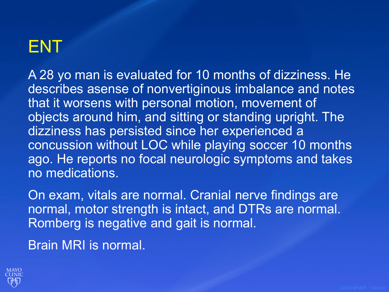# ENT

A 28 yo man is evaluated for 10 months of dizziness. He describes asense of nonvertiginous imbalance and notes that it worsens with personal motion, movement of objects around him, and sitting or standing upright. The dizziness has persisted since her experienced a concussion without LOC while playing soccer 10 months ago. He reports no focal neurologic symptoms and takes no medications.

On exam, vitals are normal. Cranial nerve findings are normal, motor strength is intact, and DTRs are normal. Romberg is negative and gait is normal.

Brain MRI is normal.

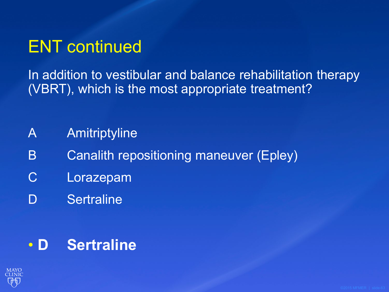### ENT continued

In addition to vestibular and balance rehabilitation therapy (VBRT), which is the most appropriate treatment?

- A Amitriptyline
- B Canalith repositioning maneuver (Epley)
- C Lorazepam
- D Sertraline

### • **D Sertraline**

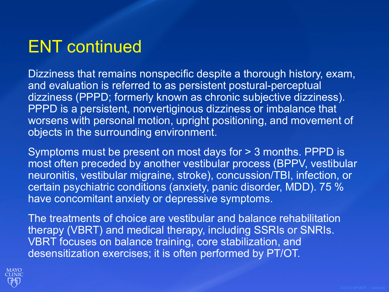### ENT continued

Dizziness that remains nonspecific despite a thorough history, exam, and evaluation is referred to as persistent postural-perceptual dizziness (PPPD; formerly known as chronic subjective dizziness). PPPD is a persistent, nonvertiginous dizziness or imbalance that worsens with personal motion, upright positioning, and movement of objects in the surrounding environment.

Symptoms must be present on most days for > 3 months. PPPD is most often preceded by another vestibular process (BPPV, vestibular neuronitis, vestibular migraine, stroke), concussion/TBI, infection, or certain psychiatric conditions (anxiety, panic disorder, MDD). 75 % have concomitant anxiety or depressive symptoms.

The treatments of choice are vestibular and balance rehabilitation therapy (VBRT) and medical therapy, including SSRIs or SNRIs. VBRT focuses on balance training, core stabilization, and desensitization exercises; it is often performed by PT/OT.

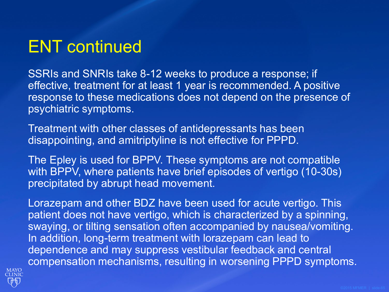### ENT continued

SSRIs and SNRIs take 8-12 weeks to produce a response; if effective, treatment for at least 1 year is recommended. A positive response to these medications does not depend on the presence of psychiatric symptoms.

Treatment with other classes of antidepressants has been disappointing, and amitriptyline is not effective for PPPD.

The Epley is used for BPPV. These symptoms are not compatible with BPPV, where patients have brief episodes of vertigo (10-30s) precipitated by abrupt head movement.

Lorazepam and other BDZ have been used for acute vertigo. This patient does not have vertigo, which is characterized by a spinning, swaying, or tilting sensation often accompanied by nausea/vomiting. In addition, long-term treatment with lorazepam can lead to dependence and may suppress vestibular feedback and central compensation mechanisms, resulting in worsening PPPD symptoms.

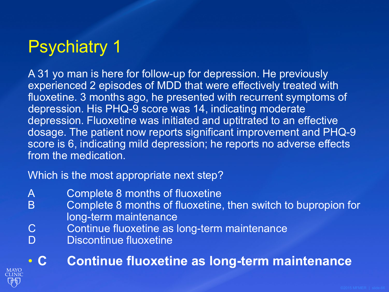# Psychiatry 1

A 31 yo man is here for follow-up for depression. He previously experienced 2 episodes of MDD that were effectively treated with fluoxetine. 3 months ago, he presented with recurrent symptoms of depression. His PHQ-9 score was 14, indicating moderate depression. Fluoxetine was initiated and uptitrated to an effective dosage. The patient now reports significant improvement and PHQ-9 score is 6, indicating mild depression; he reports no adverse effects from the medication.

Which is the most appropriate next step?

- A Complete 8 months of fluoxetine
- B Complete 8 months of fluoxetine, then switch to bupropion for long-term maintenance
- C Continue fluoxetine as long-term maintenance
- D Discontinue fluoxetine

• **C Continue fluoxetine as long-term maintenance**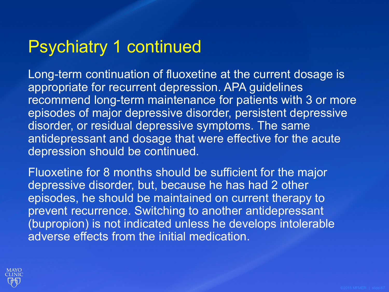### Psychiatry 1 continued

Long-term continuation of fluoxetine at the current dosage is appropriate for recurrent depression. APA guidelines recommend long-term maintenance for patients with 3 or more episodes of major depressive disorder, persistent depressive disorder, or residual depressive symptoms. The same antidepressant and dosage that were effective for the acute depression should be continued.

Fluoxetine for 8 months should be sufficient for the major depressive disorder, but, because he has had 2 other episodes, he should be maintained on current therapy to prevent recurrence. Switching to another antidepressant (bupropion) is not indicated unless he develops intolerable adverse effects from the initial medication.

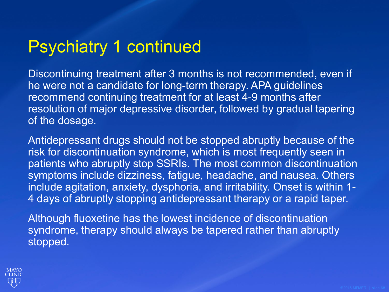### Psychiatry 1 continued

Discontinuing treatment after 3 months is not recommended, even if he were not a candidate for long-term therapy. APA guidelines recommend continuing treatment for at least 4-9 months after resolution of major depressive disorder, followed by gradual tapering of the dosage.

Antidepressant drugs should not be stopped abruptly because of the risk for discontinuation syndrome, which is most frequently seen in patients who abruptly stop SSRIs. The most common discontinuation symptoms include dizziness, fatigue, headache, and nausea. Others include agitation, anxiety, dysphoria, and irritability. Onset is within 1- 4 days of abruptly stopping antidepressant therapy or a rapid taper.

Although fluoxetine has the lowest incidence of discontinuation syndrome, therapy should always be tapered rather than abruptly stopped.

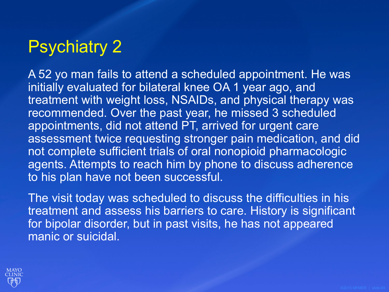# Psychiatry 2

A 52 yo man fails to attend a scheduled appointment. He was initially evaluated for bilateral knee OA 1 year ago, and treatment with weight loss, NSAIDs, and physical therapy was recommended. Over the past year, he missed 3 scheduled appointments, did not attend PT, arrived for urgent care assessment twice requesting stronger pain medication, and did not complete sufficient trials of oral nonopioid pharmacologic agents. Attempts to reach him by phone to discuss adherence to his plan have not been successful.

The visit today was scheduled to discuss the difficulties in his treatment and assess his barriers to care. History is significant for bipolar disorder, but in past visits, he has not appeared manic or suicidal.

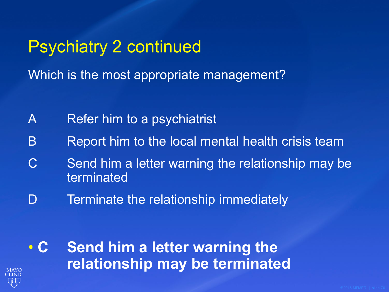Psychiatry 2 continued Which is the most appropriate management?

- A Refer him to a psychiatrist
- B Report him to the local mental health crisis team
- C Send him a letter warning the relationship may be terminated
- D Terminate the relationship immediately

• **C Send him a letter warning the relationship may be terminated**

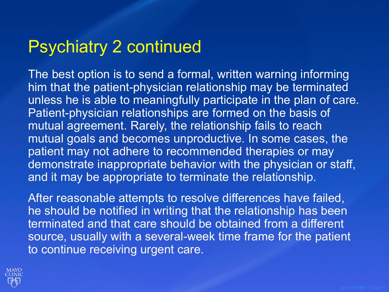### Psychiatry 2 continued

The best option is to send a formal, written warning informing him that the patient-physician relationship may be terminated unless he is able to meaningfully participate in the plan of care. Patient-physician relationships are formed on the basis of mutual agreement. Rarely, the relationship fails to reach mutual goals and becomes unproductive. In some cases, the patient may not adhere to recommended therapies or may demonstrate inappropriate behavior with the physician or staff, and it may be appropriate to terminate the relationship.

After reasonable attempts to resolve differences have failed, he should be notified in writing that the relationship has been terminated and that care should be obtained from a different source, usually with a several-week time frame for the patient to continue receiving urgent care.

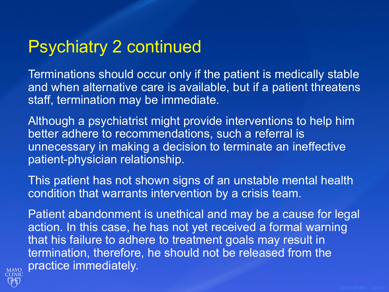### Psychiatry 2 continued

Terminations should occur only if the patient is medically stable and when alternative care is available, but if a patient threatens staff, termination may be immediate.

Although a psychiatrist might provide interventions to help him better adhere to recommendations, such a referral is unnecessary in making a decision to terminate an ineffective patient-physician relationship.

This patient has not shown signs of an unstable mental health condition that warrants intervention by a crisis team.

Patient abandonment is unethical and may be a cause for legal action. In this case, he has not yet received a formal warning that his failure to adhere to treatment goals may result in termination, therefore, he should not be released from the practice immediately.

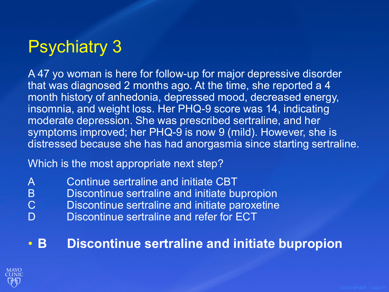# Psychiatry 3

A 47 yo woman is here for follow-up for major depressive disorder that was diagnosed 2 months ago. At the time, she reported a 4 month history of anhedonia, depressed mood, decreased energy, insomnia, and weight loss. Her PHQ-9 score was 14, indicating moderate depression. She was prescribed sertraline, and her symptoms improved; her PHQ-9 is now 9 (mild). However, she is distressed because she has had anorgasmia since starting sertraline.

Which is the most appropriate next step?

- A Continue sertraline and initiate CBT
- B Discontinue sertraline and initiate bupropion<br>C Discontinue sertraline and initiate paroxetine
	- Discontinue sertraline and initiate paroxetine
- D Discontinue sertraline and refer for ECT

#### • **B Discontinue sertraline and initiate bupropion**

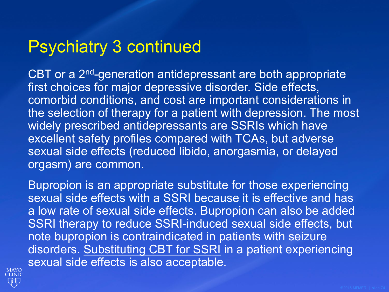## Psychiatry 3 continued

CBT or a 2<sup>nd</sup>-generation antidepressant are both appropriate first choices for major depressive disorder. Side effects, comorbid conditions, and cost are important considerations in the selection of therapy for a patient with depression. The most widely prescribed antidepressants are SSRIs which have excellent safety profiles compared with TCAs, but adverse sexual side effects (reduced libido, anorgasmia, or delayed orgasm) are common.

Bupropion is an appropriate substitute for those experiencing sexual side effects with a SSRI because it is effective and has a low rate of sexual side effects. Bupropion can also be added SSRI therapy to reduce SSRI-induced sexual side effects, but note bupropion is contraindicated in patients with seizure disorders. Substituting CBT for SSRI in a patient experiencing sexual side effects is also acceptable.

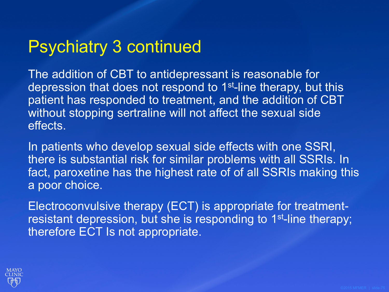## Psychiatry 3 continued

The addition of CBT to antidepressant is reasonable for depression that does not respond to 1<sup>st-line</sup> therapy, but this patient has responded to treatment, and the addition of CBT without stopping sertraline will not affect the sexual side effects.

In patients who develop sexual side effects with one SSRI, there is substantial risk for similar problems with all SSRIs. In fact, paroxetine has the highest rate of of all SSRIs making this a poor choice.

Electroconvulsive therapy (ECT) is appropriate for treatmentresistant depression, but she is responding to 1<sup>st-line</sup> therapy; therefore ECT Is not appropriate.

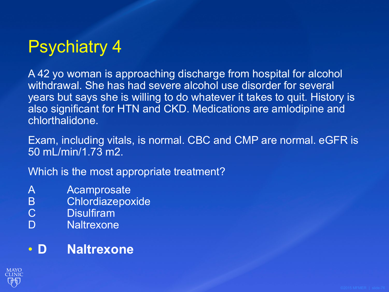# Psychiatry 4

A 42 yo woman is approaching discharge from hospital for alcohol withdrawal. She has had severe alcohol use disorder for several years but says she is willing to do whatever it takes to quit. History is also significant for HTN and CKD. Medications are amlodipine and chlorthalidone.

Exam, including vitals, is normal. CBC and CMP are normal. eGFR is 50 mL/min/1.73 m2.

Which is the most appropriate treatment?

- A Acamprosate
- B Chlordiazepoxide<br>C Disulfiram
- **Disulfiram**
- D Naltrexone

#### • **D Naltrexone**

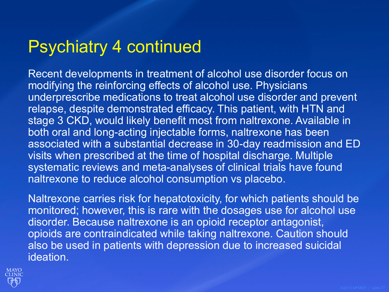## Psychiatry 4 continued

Recent developments in treatment of alcohol use disorder focus on modifying the reinforcing effects of alcohol use. Physicians underprescribe medications to treat alcohol use disorder and prevent relapse, despite demonstrated efficacy. This patient, with HTN and stage 3 CKD, would likely benefit most from naltrexone. Available in both oral and long-acting injectable forms, naltrexone has been associated with a substantial decrease in 30-day readmission and ED visits when prescribed at the time of hospital discharge. Multiple systematic reviews and meta-analyses of clinical trials have found naltrexone to reduce alcohol consumption vs placebo.

Naltrexone carries risk for hepatotoxicity, for which patients should be monitored; however, this is rare with the dosages use for alcohol use disorder. Because naltrexone is an opioid receptor antagonist, opioids are contraindicated while taking naltrexone. Caution should also be used in patients with depression due to increased suicidal ideation.

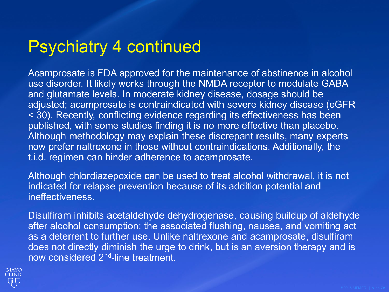## Psychiatry 4 continued

Acamprosate is FDA approved for the maintenance of abstinence in alcohol use disorder. It likely works through the NMDA receptor to modulate GABA and glutamate levels. In moderate kidney disease, dosage should be adjusted; acamprosate is contraindicated with severe kidney disease (eGFR < 30). Recently, conflicting evidence regarding its effectiveness has been published, with some studies finding it is no more effective than placebo. Although methodology may explain these discrepant results, many experts now prefer naltrexone in those without contraindications. Additionally, the t.i.d. regimen can hinder adherence to acamprosate.

Although chlordiazepoxide can be used to treat alcohol withdrawal, it is not indicated for relapse prevention because of its addition potential and ineffectiveness.

Disulfiram inhibits acetaldehyde dehydrogenase, causing buildup of aldehyde after alcohol consumption; the associated flushing, nausea, and vomiting act as a deterrent to further use. Unlike naltrexone and acamprosate, disulfiram does not directly diminish the urge to drink, but is an aversion therapy and is now considered 2nd-line treatment.

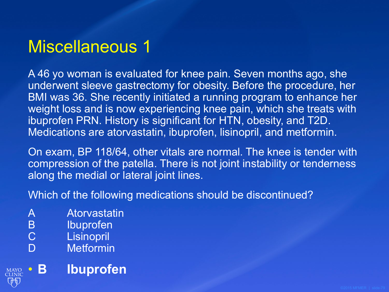A 46 yo woman is evaluated for knee pain. Seven months ago, she underwent sleeve gastrectomy for obesity. Before the procedure, her BMI was 36. She recently initiated a running program to enhance her weight loss and is now experiencing knee pain, which she treats with ibuprofen PRN. History is significant for HTN, obesity, and T2D. Medications are atorvastatin, ibuprofen, lisinopril, and metformin.

On exam, BP 118/64, other vitals are normal. The knee is tender with compression of the patella. There is not joint instability or tenderness along the medial or lateral joint lines.

Which of the following medications should be discontinued?

- A Atorvastatin
- B Ibuprofen<br>C Lisinopril
- Lisinopril
- D Metformin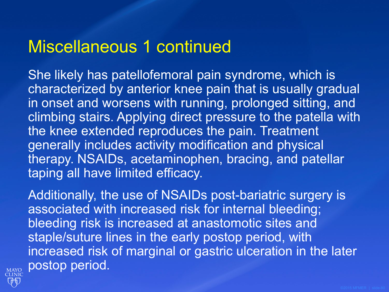#### Miscellaneous 1 continued

She likely has patellofemoral pain syndrome, which is characterized by anterior knee pain that is usually gradual in onset and worsens with running, prolonged sitting, and climbing stairs. Applying direct pressure to the patella with the knee extended reproduces the pain. Treatment generally includes activity modification and physical therapy. NSAIDs, acetaminophen, bracing, and patellar taping all have limited efficacy.

Additionally, the use of NSAIDs post-bariatric surgery is associated with increased risk for internal bleeding; bleeding risk is increased at anastomotic sites and staple/suture lines in the early postop period, with increased risk of marginal or gastric ulceration in the later postop period.

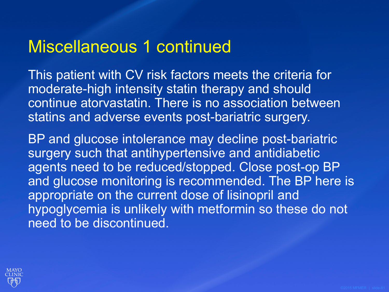#### Miscellaneous 1 continued

This patient with CV risk factors meets the criteria for moderate-high intensity statin therapy and should continue atorvastatin. There is no association between statins and adverse events post-bariatric surgery.

BP and glucose intolerance may decline post-bariatric surgery such that antihypertensive and antidiabetic agents need to be reduced/stopped. Close post-op BP and glucose monitoring is recommended. The BP here is appropriate on the current dose of lisinopril and hypoglycemia is unlikely with metformin so these do not need to be discontinued.

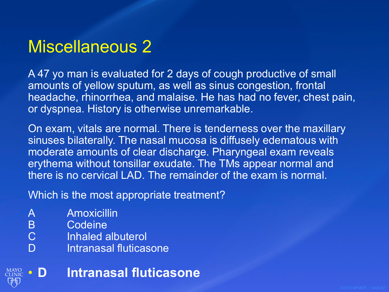A 47 yo man is evaluated for 2 days of cough productive of small amounts of yellow sputum, as well as sinus congestion, frontal headache, rhinorrhea, and malaise. He has had no fever, chest pain, or dyspnea. History is otherwise unremarkable.

On exam, vitals are normal. There is tenderness over the maxillary sinuses bilaterally. The nasal mucosa is diffusely edematous with moderate amounts of clear discharge. Pharyngeal exam reveals erythema without tonsillar exudate. The TMs appear normal and there is no cervical LAD. The remainder of the exam is normal.

Which is the most appropriate treatment?

- A Amoxicillin
- B Codeine<br>C Inhaled a
- Inhaled albuterol
- D Intranasal fluticasone

• **D Intranasal fluticasone**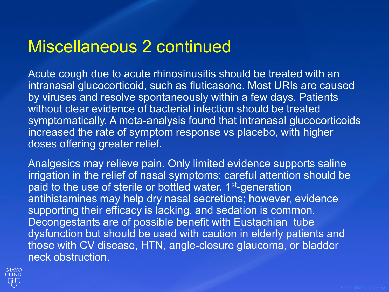### Miscellaneous 2 continued

Acute cough due to acute rhinosinusitis should be treated with an intranasal glucocorticoid, such as fluticasone. Most URIs are caused by viruses and resolve spontaneously within a few days. Patients without clear evidence of bacterial infection should be treated symptomatically. A meta-analysis found that intranasal glucocorticoids increased the rate of symptom response vs placebo, with higher doses offering greater relief.

Analgesics may relieve pain. Only limited evidence supports saline irrigation in the relief of nasal symptoms; careful attention should be paid to the use of sterile or bottled water. 1<sup>st-</sup>generation antihistamines may help dry nasal secretions; however, evidence supporting their efficacy is lacking, and sedation is common. Decongestants are of possible benefit with Eustachian tube dysfunction but should be used with caution in elderly patients and those with CV disease, HTN, angle-closure glaucoma, or bladder neck obstruction.

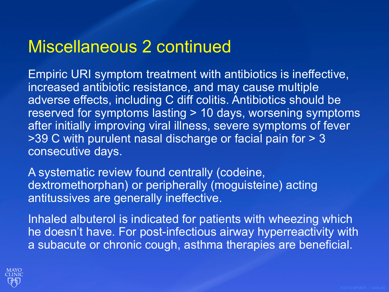### Miscellaneous 2 continued

Empiric URI symptom treatment with antibiotics is ineffective, increased antibiotic resistance, and may cause multiple adverse effects, including C diff colitis. Antibiotics should be reserved for symptoms lasting > 10 days, worsening symptoms after initially improving viral illness, severe symptoms of fever >39 C with purulent nasal discharge or facial pain for > 3 consecutive days.

A systematic review found centrally (codeine, dextromethorphan) or peripherally (moguisteine) acting antitussives are generally ineffective.

Inhaled albuterol is indicated for patients with wheezing which he doesn't have. For post-infectious airway hyperreactivity with a subacute or chronic cough, asthma therapies are beneficial.

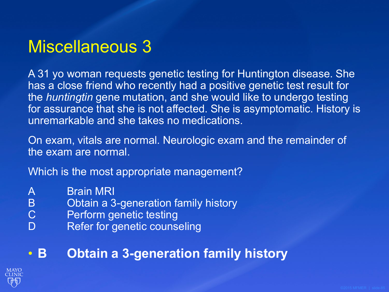A 31 yo woman requests genetic testing for Huntington disease. She has a close friend who recently had a positive genetic test result for the *huntingtin* gene mutation, and she would like to undergo testing for assurance that she is not affected. She is asymptomatic. History is unremarkable and she takes no medications.

On exam, vitals are normal. Neurologic exam and the remainder of the exam are normal.

Which is the most appropriate management?

- 
- A Brain MRI<br>B Obtain a 3 B Obtain a 3-generation family history<br>C Perform genetic testing
- Perform genetic testing
- D Refer for genetic counseling

#### • **B Obtain a 3-generation family history**

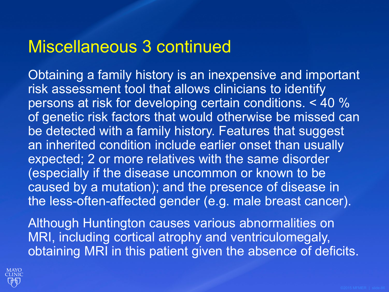#### Miscellaneous 3 continued

Obtaining a family history is an inexpensive and important risk assessment tool that allows clinicians to identify persons at risk for developing certain conditions. < 40 % of genetic risk factors that would otherwise be missed can be detected with a family history. Features that suggest an inherited condition include earlier onset than usually expected; 2 or more relatives with the same disorder (especially if the disease uncommon or known to be caused by a mutation); and the presence of disease in the less-often-affected gender (e.g. male breast cancer).

Although Huntington causes various abnormalities on MRI, including cortical atrophy and ventriculomegaly, obtaining MRI in this patient given the absence of deficits.

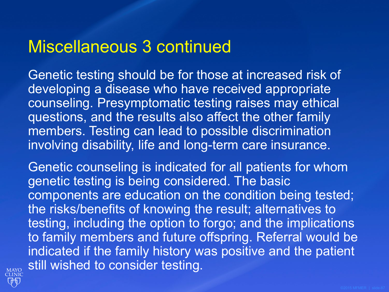#### Miscellaneous 3 continued

Genetic testing should be for those at increased risk of developing a disease who have received appropriate counseling. Presymptomatic testing raises may ethical questions, and the results also affect the other family members. Testing can lead to possible discrimination involving disability, life and long-term care insurance.

Genetic counseling is indicated for all patients for whom genetic testing is being considered. The basic components are education on the condition being tested; the risks/benefits of knowing the result; alternatives to testing, including the option to forgo; and the implications to family members and future offspring. Referral would be indicated if the family history was positive and the patient still wished to consider testing.

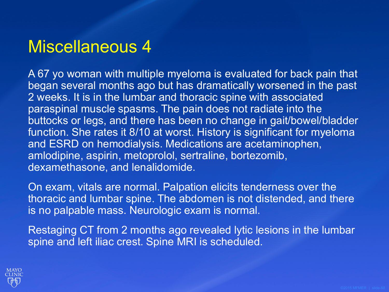A 67 yo woman with multiple myeloma is evaluated for back pain that began several months ago but has dramatically worsened in the past 2 weeks. It is in the lumbar and thoracic spine with associated paraspinal muscle spasms. The pain does not radiate into the buttocks or legs, and there has been no change in gait/bowel/bladder function. She rates it 8/10 at worst. History is significant for myeloma and ESRD on hemodialysis. Medications are acetaminophen, amlodipine, aspirin, metoprolol, sertraline, bortezomib, dexamethasone, and lenalidomide.

On exam, vitals are normal. Palpation elicits tenderness over the thoracic and lumbar spine. The abdomen is not distended, and there is no palpable mass. Neurologic exam is normal.

Restaging CT from 2 months ago revealed lytic lesions in the lumbar spine and left iliac crest. Spine MRI is scheduled.

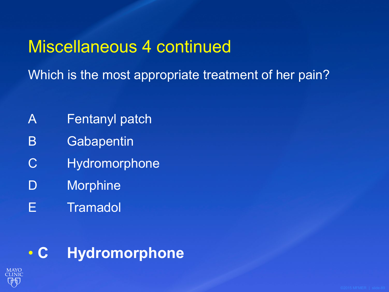### Miscellaneous 4 continued

Which is the most appropriate treatment of her pain?

- A Fentanyl patch
- B Gabapentin
- C Hydromorphone
- D Morphine
- E Tramadol

### • **C Hydromorphone**

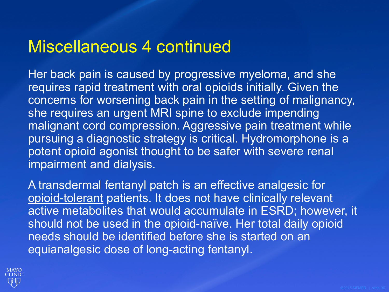#### Miscellaneous 4 continued

Her back pain is caused by progressive myeloma, and she requires rapid treatment with oral opioids initially. Given the concerns for worsening back pain in the setting of malignancy, she requires an urgent MRI spine to exclude impending malignant cord compression. Aggressive pain treatment while pursuing a diagnostic strategy is critical. Hydromorphone is a potent opioid agonist thought to be safer with severe renal impairment and dialysis.

A transdermal fentanyl patch is an effective analgesic for opioid-tolerant patients. It does not have clinically relevant active metabolites that would accumulate in ESRD; however, it should not be used in the opioid-naïve. Her total daily opioid needs should be identified before she is started on an equianalgesic dose of long-acting fentanyl.

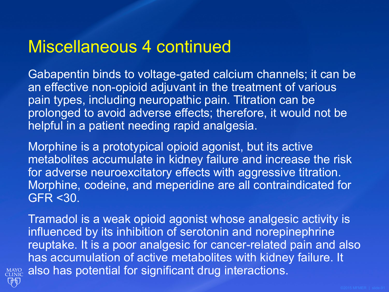#### Miscellaneous 4 continued

Gabapentin binds to voltage-gated calcium channels; it can be an effective non-opioid adjuvant in the treatment of various pain types, including neuropathic pain. Titration can be prolonged to avoid adverse effects; therefore, it would not be helpful in a patient needing rapid analgesia.

Morphine is a prototypical opioid agonist, but its active metabolites accumulate in kidney failure and increase the risk for adverse neuroexcitatory effects with aggressive titration. Morphine, codeine, and meperidine are all contraindicated for GFR <30.

Tramadol is a weak opioid agonist whose analgesic activity is influenced by its inhibition of serotonin and norepinephrine reuptake. It is a poor analgesic for cancer-related pain and also has accumulation of active metabolites with kidney failure. It MAYO also has potential for significant drug interactions.

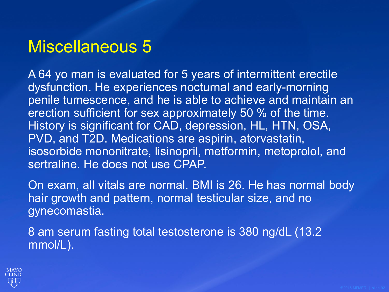A 64 yo man is evaluated for 5 years of intermittent erectile dysfunction. He experiences nocturnal and early-morning penile tumescence, and he is able to achieve and maintain an erection sufficient for sex approximately 50 % of the time. History is significant for CAD, depression, HL, HTN, OSA, PVD, and T2D. Medications are aspirin, atorvastatin, isosorbide mononitrate, lisinopril, metformin, metoprolol, and sertraline. He does not use CPAP.

On exam, all vitals are normal. BMI is 26. He has normal body hair growth and pattern, normal testicular size, and no gynecomastia.

8 am serum fasting total testosterone is 380 ng/dL (13.2 mmol/L).

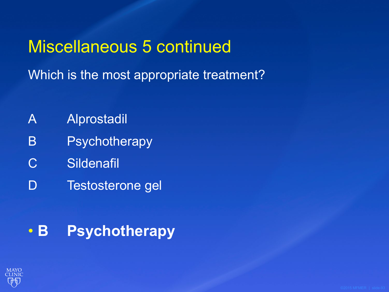## Miscellaneous 5 continued

Which is the most appropriate treatment?

- A Alprostadil
- B Psychotherapy
- C Sildenafil
- D Testosterone gel

### • **B Psychotherapy**

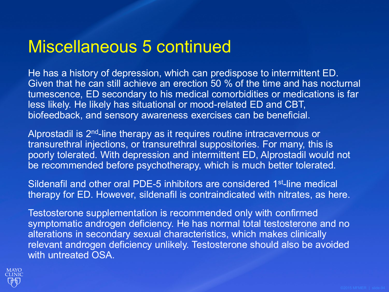### Miscellaneous 5 continued

He has a history of depression, which can predispose to intermittent ED. Given that he can still achieve an erection 50 % of the time and has nocturnal tumescence, ED secondary to his medical comorbidities or medications is far less likely. He likely has situational or mood-related ED and CBT, biofeedback, and sensory awareness exercises can be beneficial.

Alprostadil is 2nd-line therapy as it requires routine intracavernous or transurethral injections, or transurethral suppositories. For many, this is poorly tolerated. With depression and intermittent ED, Alprostadil would not be recommended before psychotherapy, which is much better tolerated.

Sildenafil and other oral PDE-5 inhibitors are considered 1<sup>st-line</sup> medical therapy for ED. However, sildenafil is contraindicated with nitrates, as here.

Testosterone supplementation is recommended only with confirmed symptomatic androgen deficiency. He has normal total testosterone and no alterations in secondary sexual characteristics, which makes clinically relevant androgen deficiency unlikely. Testosterone should also be avoided with untreated OSA.

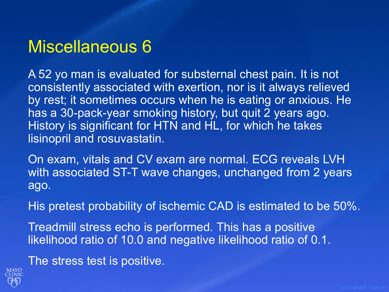A 52 yo man is evaluated for substernal chest pain. It is not consistently associated with exertion, nor is it always relieved by rest; it sometimes occurs when he is eating or anxious. He has a 30-pack-year smoking history, but quit 2 years ago. History is significant for HTN and HL, for which he takes lisinopril and rosuvastatin.

On exam, vitals and CV exam are normal. ECG reveals LVH with associated ST-T wave changes, unchanged from 2 years ago.

His pretest probability of ischemic CAD is estimated to be 50%.

Treadmill stress echo is performed. This has a positive likelihood ratio of 10.0 and negative likelihood ratio of 0.1.

The stress test is positive.

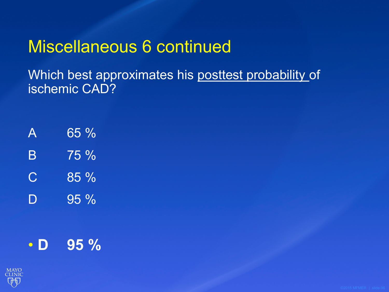### Miscellaneous 6 continued

Which best approximates his posttest probability of ischemic CAD?

| $\boldsymbol{\mathsf{A}}$ | 65%    |
|---------------------------|--------|
| $\mathsf B$               | 75 %   |
| $\mathbf C$               | $85\%$ |
| D                         | 95 %   |

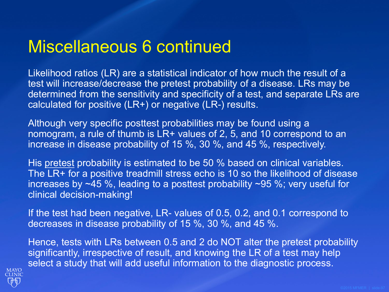### Miscellaneous 6 continued

Likelihood ratios (LR) are a statistical indicator of how much the result of a test will increase/decrease the pretest probability of a disease. LRs may be determined from the sensitivity and specificity of a test, and separate LRs are calculated for positive (LR+) or negative (LR-) results.

Although very specific posttest probabilities may be found using a nomogram, a rule of thumb is LR+ values of 2, 5, and 10 correspond to an increase in disease probability of 15 %, 30 %, and 45 %, respectively.

His pretest probability is estimated to be 50 % based on clinical variables. The LR+ for a positive treadmill stress echo is 10 so the likelihood of disease increases by ~45 %, leading to a posttest probability ~95 %; very useful for clinical decision-making!

If the test had been negative, LR- values of 0.5, 0.2, and 0.1 correspond to decreases in disease probability of 15 %, 30 %, and 45 %.

Hence, tests with LRs between 0.5 and 2 do NOT alter the pretest probability significantly, irrespective of result, and knowing the LR of a test may help select a study that will add useful information to the diagnostic process.

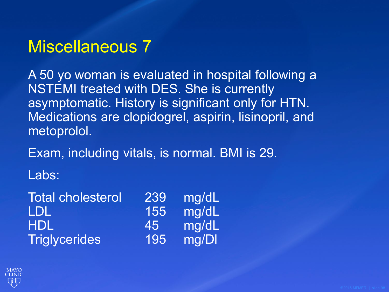A 50 yo woman is evaluated in hospital following a NSTEMI treated with DES. She is currently asymptomatic. History is significant only for HTN. Medications are clopidogrel, aspirin, lisinopril, and metoprolol.

Exam, including vitals, is normal. BMI is 29.

Labs:

| <b>Total cholesterol</b> | 239 | mg/dL |
|--------------------------|-----|-------|
| LDL                      | 155 | mg/dL |
| <b>HDL</b>               | 45  | mg/dL |
| <b>Triglycerides</b>     | 195 | mg/DI |

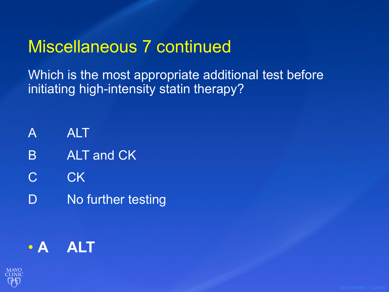### Miscellaneous 7 continued

Which is the most appropriate additional test before initiating high-intensity statin therapy?

- A ALT
- B ALT and CK
- C CK
- D No further testing

### • **A ALT**

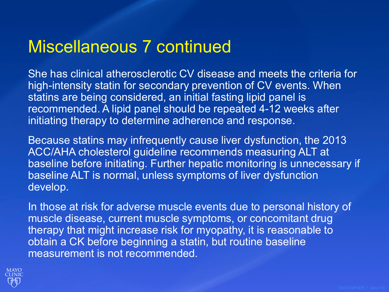### Miscellaneous 7 continued

She has clinical atherosclerotic CV disease and meets the criteria for high-intensity statin for secondary prevention of CV events. When statins are being considered, an initial fasting lipid panel is recommended. A lipid panel should be repeated 4-12 weeks after initiating therapy to determine adherence and response.

Because statins may infrequently cause liver dysfunction, the 2013 ACC/AHA cholesterol guideline recommends measuring ALT at baseline before initiating. Further hepatic monitoring is unnecessary if baseline ALT is normal, unless symptoms of liver dysfunction develop.

In those at risk for adverse muscle events due to personal history of muscle disease, current muscle symptoms, or concomitant drug therapy that might increase risk for myopathy, it is reasonable to obtain a CK before beginning a statin, but routine baseline measurement is not recommended.

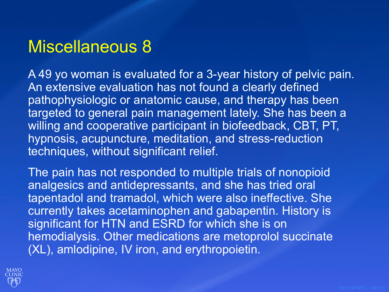A 49 yo woman is evaluated for a 3-year history of pelvic pain. An extensive evaluation has not found a clearly defined pathophysiologic or anatomic cause, and therapy has been targeted to general pain management lately. She has been a willing and cooperative participant in biofeedback, CBT, PT, hypnosis, acupuncture, meditation, and stress-reduction techniques, without significant relief.

The pain has not responded to multiple trials of nonopioid analgesics and antidepressants, and she has tried oral tapentadol and tramadol, which were also ineffective. She currently takes acetaminophen and gabapentin. History is significant for HTN and ESRD for which she is on hemodialysis. Other medications are metoprolol succinate (XL), amlodipine, IV iron, and erythropoietin.

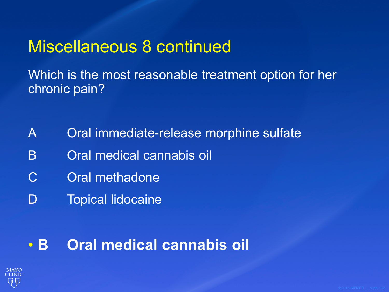### Miscellaneous 8 continued

Which is the most reasonable treatment option for her chronic pain?

- A Oral immediate-release morphine sulfate
- B Oral medical cannabis oil
- C Oral methadone
- D Topical lidocaine

#### • **B Oral medical cannabis oil**

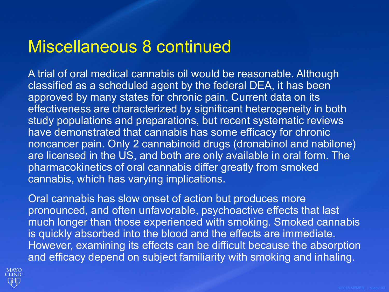#### Miscellaneous 8 continued

A trial of oral medical cannabis oil would be reasonable. Although classified as a scheduled agent by the federal DEA, it has been approved by many states for chronic pain. Current data on its effectiveness are characterized by significant heterogeneity in both study populations and preparations, but recent systematic reviews have demonstrated that cannabis has some efficacy for chronic noncancer pain. Only 2 cannabinoid drugs (dronabinol and nabilone) are licensed in the US, and both are only available in oral form. The pharmacokinetics of oral cannabis differ greatly from smoked cannabis, which has varying implications.

Oral cannabis has slow onset of action but produces more pronounced, and often unfavorable, psychoactive effects that last much longer than those experienced with smoking. Smoked cannabis is quickly absorbed into the blood and the effects are immediate. However, examining its effects can be difficult because the absorption and efficacy depend on subject familiarity with smoking and inhaling.

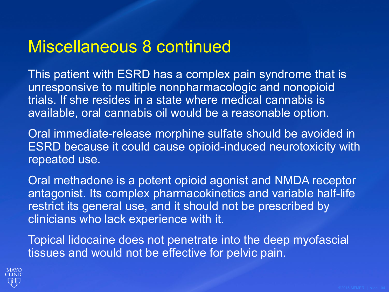#### Miscellaneous 8 continued

This patient with ESRD has a complex pain syndrome that is unresponsive to multiple nonpharmacologic and nonopioid trials. If she resides in a state where medical cannabis is available, oral cannabis oil would be a reasonable option.

Oral immediate-release morphine sulfate should be avoided in ESRD because it could cause opioid-induced neurotoxicity with repeated use.

Oral methadone is a potent opioid agonist and NMDA receptor antagonist. Its complex pharmacokinetics and variable half-life restrict its general use, and it should not be prescribed by clinicians who lack experience with it.

Topical lidocaine does not penetrate into the deep myofascial tissues and would not be effective for pelvic pain.